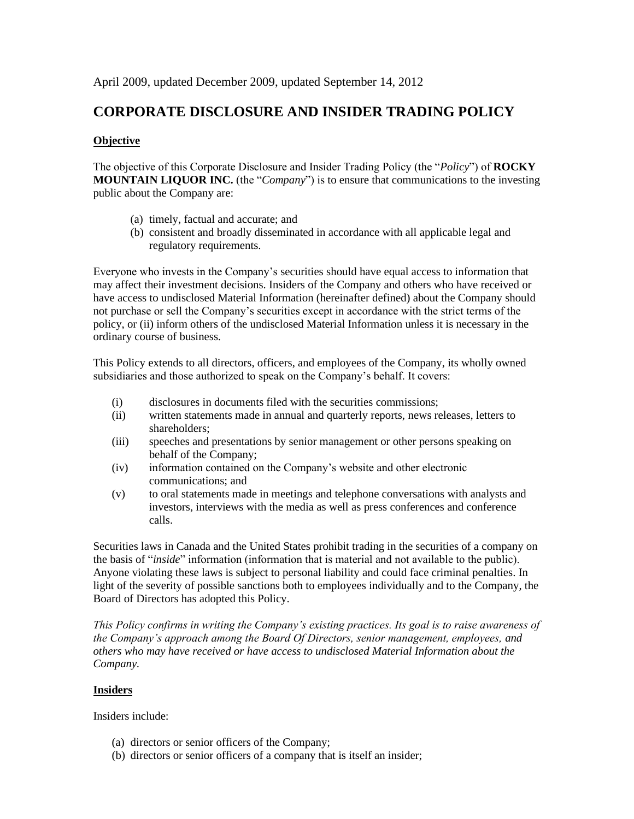April 2009, updated December 2009, updated September 14, 2012

# **CORPORATE DISCLOSURE AND INSIDER TRADING POLICY**

### **Objective**

The objective of this Corporate Disclosure and Insider Trading Policy (the "*Policy*") of **ROCKY MOUNTAIN LIQUOR INC.** (the "*Company*") is to ensure that communications to the investing public about the Company are:

- (a) timely, factual and accurate; and
- (b) consistent and broadly disseminated in accordance with all applicable legal and regulatory requirements.

Everyone who invests in the Company's securities should have equal access to information that may affect their investment decisions. Insiders of the Company and others who have received or have access to undisclosed Material Information (hereinafter defined) about the Company should not purchase or sell the Company's securities except in accordance with the strict terms of the policy, or (ii) inform others of the undisclosed Material Information unless it is necessary in the ordinary course of business.

This Policy extends to all directors, officers, and employees of the Company, its wholly owned subsidiaries and those authorized to speak on the Company's behalf. It covers:

- (i) disclosures in documents filed with the securities commissions;
- (ii) written statements made in annual and quarterly reports, news releases, letters to shareholders;
- (iii) speeches and presentations by senior management or other persons speaking on behalf of the Company;
- (iv) information contained on the Company's website and other electronic communications; and
- (v) to oral statements made in meetings and telephone conversations with analysts and investors, interviews with the media as well as press conferences and conference calls.

Securities laws in Canada and the United States prohibit trading in the securities of a company on the basis of "*inside*" information (information that is material and not available to the public). Anyone violating these laws is subject to personal liability and could face criminal penalties. In light of the severity of possible sanctions both to employees individually and to the Company, the Board of Directors has adopted this Policy.

*This Policy confirms in writing the Company's existing practices. Its goal is to raise awareness of the Company's approach among the Board Of Directors, senior management, employees, and others who may have received or have access to undisclosed Material Information about the Company.*

### **Insiders**

Insiders include:

- (a) directors or senior officers of the Company;
- (b) directors or senior officers of a company that is itself an insider;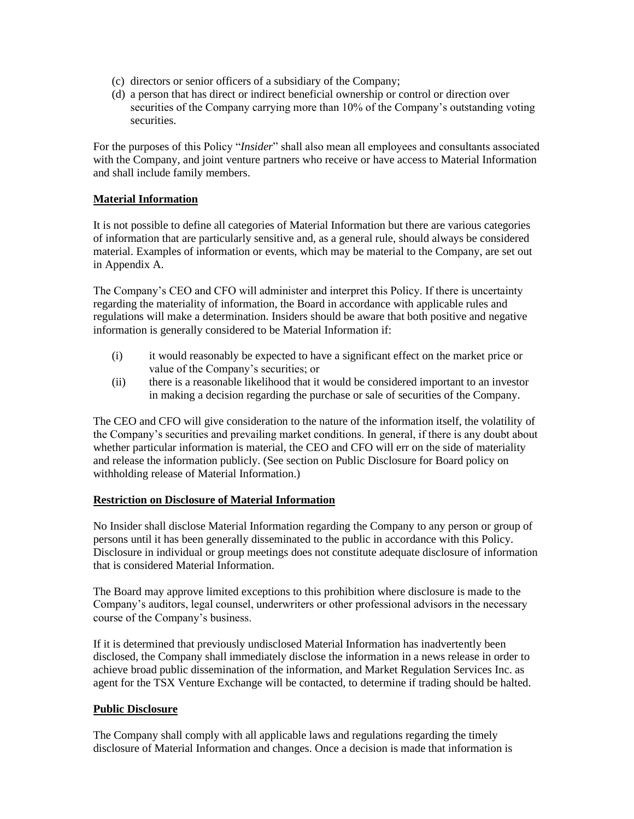- (c) directors or senior officers of a subsidiary of the Company;
- (d) a person that has direct or indirect beneficial ownership or control or direction over securities of the Company carrying more than 10% of the Company's outstanding voting securities.

For the purposes of this Policy "*Insider*" shall also mean all employees and consultants associated with the Company, and joint venture partners who receive or have access to Material Information and shall include family members.

### **Material Information**

It is not possible to define all categories of Material Information but there are various categories of information that are particularly sensitive and, as a general rule, should always be considered material. Examples of information or events, which may be material to the Company, are set out in Appendix A.

The Company's CEO and CFO will administer and interpret this Policy. If there is uncertainty regarding the materiality of information, the Board in accordance with applicable rules and regulations will make a determination. Insiders should be aware that both positive and negative information is generally considered to be Material Information if:

- (i) it would reasonably be expected to have a significant effect on the market price or value of the Company's securities; or
- (ii) there is a reasonable likelihood that it would be considered important to an investor in making a decision regarding the purchase or sale of securities of the Company.

The CEO and CFO will give consideration to the nature of the information itself, the volatility of the Company's securities and prevailing market conditions. In general, if there is any doubt about whether particular information is material, the CEO and CFO will err on the side of materiality and release the information publicly. (See section on Public Disclosure for Board policy on withholding release of Material Information.)

### **Restriction on Disclosure of Material Information**

No Insider shall disclose Material Information regarding the Company to any person or group of persons until it has been generally disseminated to the public in accordance with this Policy. Disclosure in individual or group meetings does not constitute adequate disclosure of information that is considered Material Information.

The Board may approve limited exceptions to this prohibition where disclosure is made to the Company's auditors, legal counsel, underwriters or other professional advisors in the necessary course of the Company's business.

If it is determined that previously undisclosed Material Information has inadvertently been disclosed, the Company shall immediately disclose the information in a news release in order to achieve broad public dissemination of the information, and Market Regulation Services Inc. as agent for the TSX Venture Exchange will be contacted, to determine if trading should be halted.

### **Public Disclosure**

The Company shall comply with all applicable laws and regulations regarding the timely disclosure of Material Information and changes. Once a decision is made that information is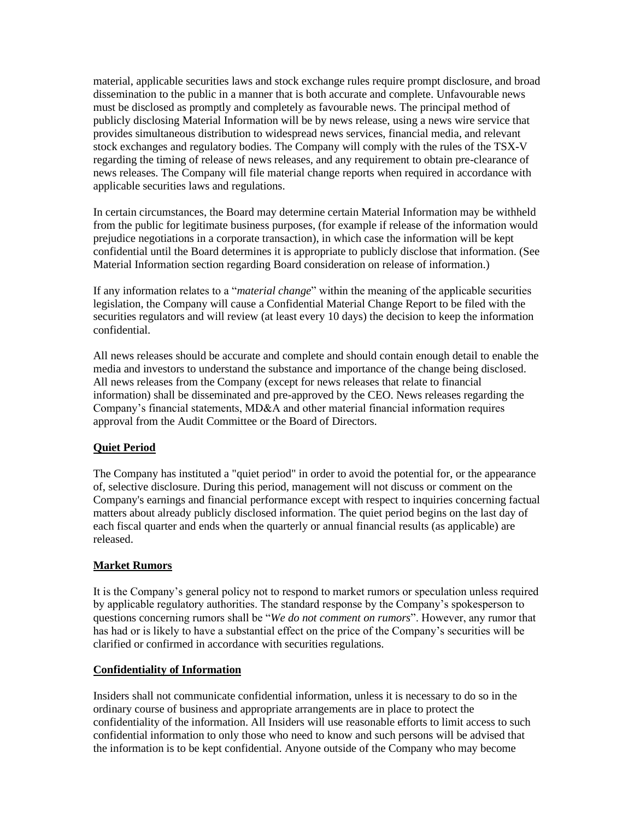material, applicable securities laws and stock exchange rules require prompt disclosure, and broad dissemination to the public in a manner that is both accurate and complete. Unfavourable news must be disclosed as promptly and completely as favourable news. The principal method of publicly disclosing Material Information will be by news release, using a news wire service that provides simultaneous distribution to widespread news services, financial media, and relevant stock exchanges and regulatory bodies. The Company will comply with the rules of the TSX-V regarding the timing of release of news releases, and any requirement to obtain pre-clearance of news releases. The Company will file material change reports when required in accordance with applicable securities laws and regulations.

In certain circumstances, the Board may determine certain Material Information may be withheld from the public for legitimate business purposes, (for example if release of the information would prejudice negotiations in a corporate transaction), in which case the information will be kept confidential until the Board determines it is appropriate to publicly disclose that information. (See Material Information section regarding Board consideration on release of information.)

If any information relates to a "*material change*" within the meaning of the applicable securities legislation, the Company will cause a Confidential Material Change Report to be filed with the securities regulators and will review (at least every 10 days) the decision to keep the information confidential.

All news releases should be accurate and complete and should contain enough detail to enable the media and investors to understand the substance and importance of the change being disclosed. All news releases from the Company (except for news releases that relate to financial information) shall be disseminated and pre-approved by the CEO. News releases regarding the Company's financial statements, MD&A and other material financial information requires approval from the Audit Committee or the Board of Directors.

## **Quiet Period**

The Company has instituted a "quiet period" in order to avoid the potential for, or the appearance of, selective disclosure. During this period, management will not discuss or comment on the Company's earnings and financial performance except with respect to inquiries concerning factual matters about already publicly disclosed information. The quiet period begins on the last day of each fiscal quarter and ends when the quarterly or annual financial results (as applicable) are released.

### **Market Rumors**

It is the Company's general policy not to respond to market rumors or speculation unless required by applicable regulatory authorities. The standard response by the Company's spokesperson to questions concerning rumors shall be "*We do not comment on rumors*". However, any rumor that has had or is likely to have a substantial effect on the price of the Company's securities will be clarified or confirmed in accordance with securities regulations.

### **Confidentiality of Information**

Insiders shall not communicate confidential information, unless it is necessary to do so in the ordinary course of business and appropriate arrangements are in place to protect the confidentiality of the information. All Insiders will use reasonable efforts to limit access to such confidential information to only those who need to know and such persons will be advised that the information is to be kept confidential. Anyone outside of the Company who may become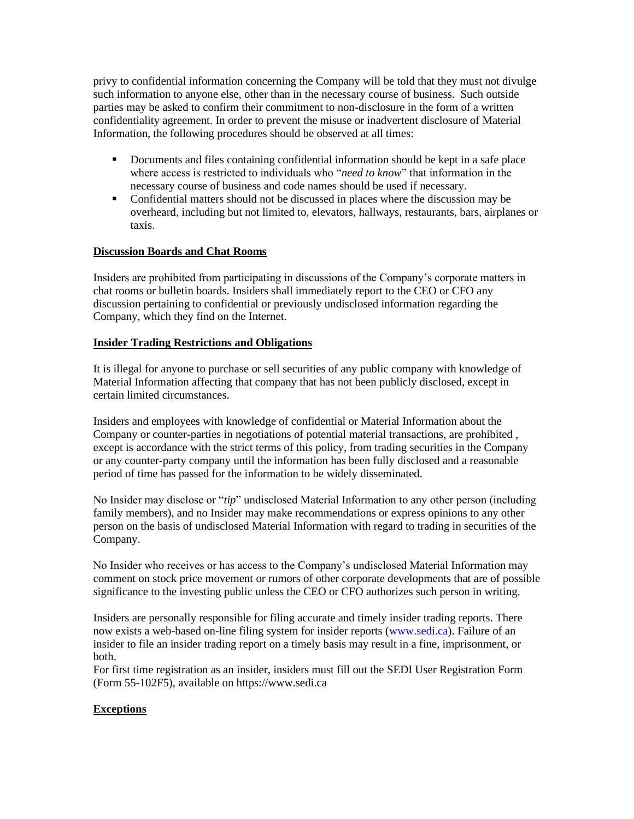privy to confidential information concerning the Company will be told that they must not divulge such information to anyone else, other than in the necessary course of business. Such outside parties may be asked to confirm their commitment to non-disclosure in the form of a written confidentiality agreement. In order to prevent the misuse or inadvertent disclosure of Material Information, the following procedures should be observed at all times:

- **•** Documents and files containing confidential information should be kept in a safe place where access is restricted to individuals who "*need to know*" that information in the necessary course of business and code names should be used if necessary.
- Confidential matters should not be discussed in places where the discussion may be overheard, including but not limited to, elevators, hallways, restaurants, bars, airplanes or taxis.

### **Discussion Boards and Chat Rooms**

Insiders are prohibited from participating in discussions of the Company's corporate matters in chat rooms or bulletin boards. Insiders shall immediately report to the CEO or CFO any discussion pertaining to confidential or previously undisclosed information regarding the Company, which they find on the Internet.

### **Insider Trading Restrictions and Obligations**

It is illegal for anyone to purchase or sell securities of any public company with knowledge of Material Information affecting that company that has not been publicly disclosed, except in certain limited circumstances.

Insiders and employees with knowledge of confidential or Material Information about the Company or counter-parties in negotiations of potential material transactions, are prohibited , except is accordance with the strict terms of this policy, from trading securities in the Company or any counter-party company until the information has been fully disclosed and a reasonable period of time has passed for the information to be widely disseminated.

No Insider may disclose or "*tip*" undisclosed Material Information to any other person (including family members), and no Insider may make recommendations or express opinions to any other person on the basis of undisclosed Material Information with regard to trading in securities of the Company.

No Insider who receives or has access to the Company's undisclosed Material Information may comment on stock price movement or rumors of other corporate developments that are of possible significance to the investing public unless the CEO or CFO authorizes such person in writing.

Insiders are personally responsible for filing accurate and timely insider trading reports. There now exists a web-based on-line filing system for insider reports (www.sedi.ca). Failure of an insider to file an insider trading report on a timely basis may result in a fine, imprisonment, or both.

For first time registration as an insider, insiders must fill out the SEDI User Registration Form (Form 55-102F5), available on https://www.sedi.ca

## **Exceptions**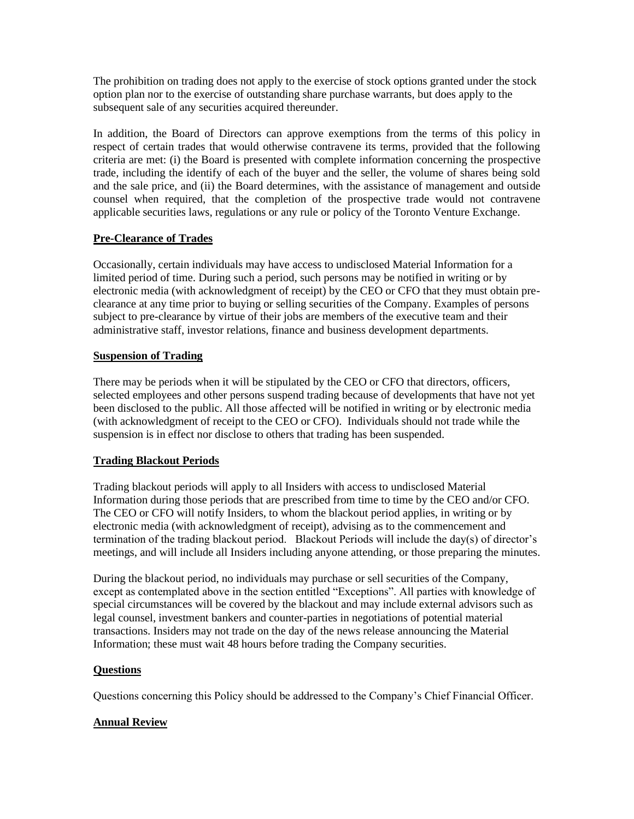The prohibition on trading does not apply to the exercise of stock options granted under the stock option plan nor to the exercise of outstanding share purchase warrants, but does apply to the subsequent sale of any securities acquired thereunder.

In addition, the Board of Directors can approve exemptions from the terms of this policy in respect of certain trades that would otherwise contravene its terms, provided that the following criteria are met: (i) the Board is presented with complete information concerning the prospective trade, including the identify of each of the buyer and the seller, the volume of shares being sold and the sale price, and (ii) the Board determines, with the assistance of management and outside counsel when required, that the completion of the prospective trade would not contravene applicable securities laws, regulations or any rule or policy of the Toronto Venture Exchange.

## **Pre-Clearance of Trades**

Occasionally, certain individuals may have access to undisclosed Material Information for a limited period of time. During such a period, such persons may be notified in writing or by electronic media (with acknowledgment of receipt) by the CEO or CFO that they must obtain preclearance at any time prior to buying or selling securities of the Company. Examples of persons subject to pre-clearance by virtue of their jobs are members of the executive team and their administrative staff, investor relations, finance and business development departments.

### **Suspension of Trading**

There may be periods when it will be stipulated by the CEO or CFO that directors, officers, selected employees and other persons suspend trading because of developments that have not yet been disclosed to the public. All those affected will be notified in writing or by electronic media (with acknowledgment of receipt to the CEO or CFO). Individuals should not trade while the suspension is in effect nor disclose to others that trading has been suspended.

## **Trading Blackout Periods**

Trading blackout periods will apply to all Insiders with access to undisclosed Material Information during those periods that are prescribed from time to time by the CEO and/or CFO. The CEO or CFO will notify Insiders, to whom the blackout period applies, in writing or by electronic media (with acknowledgment of receipt), advising as to the commencement and termination of the trading blackout period. Blackout Periods will include the day(s) of director's meetings, and will include all Insiders including anyone attending, or those preparing the minutes.

During the blackout period, no individuals may purchase or sell securities of the Company, except as contemplated above in the section entitled "Exceptions". All parties with knowledge of special circumstances will be covered by the blackout and may include external advisors such as legal counsel, investment bankers and counter-parties in negotiations of potential material transactions. Insiders may not trade on the day of the news release announcing the Material Information; these must wait 48 hours before trading the Company securities.

### **Questions**

Questions concerning this Policy should be addressed to the Company's Chief Financial Officer.

## **Annual Review**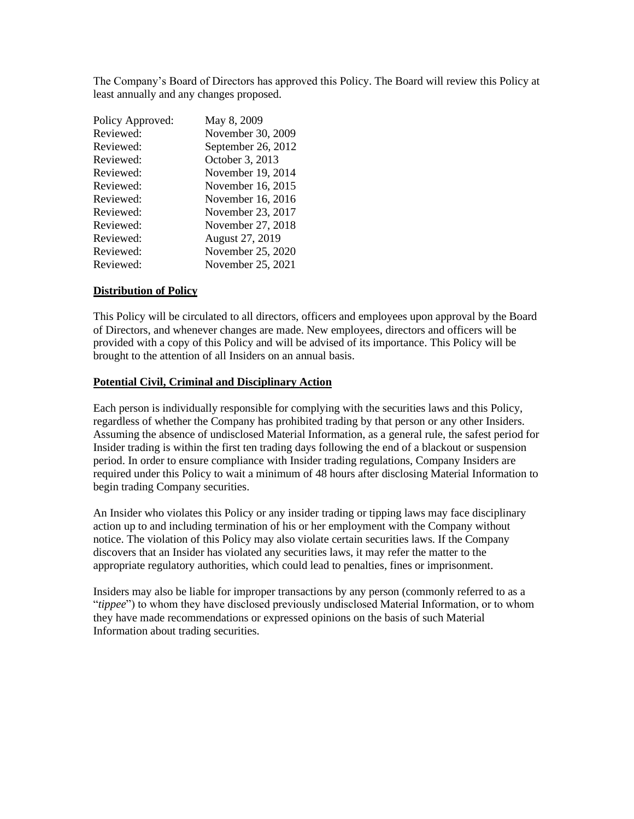The Company's Board of Directors has approved this Policy. The Board will review this Policy at least annually and any changes proposed.

| Policy Approved: | May 8, 2009        |
|------------------|--------------------|
| Reviewed:        | November 30, 2009  |
| Reviewed:        | September 26, 2012 |
| Reviewed:        | October 3, 2013    |
| Reviewed:        | November 19, 2014  |
| Reviewed:        | November 16, 2015  |
| Reviewed:        | November 16, 2016  |
| Reviewed:        | November 23, 2017  |
| Reviewed:        | November 27, 2018  |
| Reviewed:        | August 27, 2019    |
| Reviewed:        | November 25, 2020  |
| Reviewed:        | November 25, 2021  |

### **Distribution of Policy**

This Policy will be circulated to all directors, officers and employees upon approval by the Board of Directors, and whenever changes are made. New employees, directors and officers will be provided with a copy of this Policy and will be advised of its importance. This Policy will be brought to the attention of all Insiders on an annual basis.

#### **Potential Civil, Criminal and Disciplinary Action**

Each person is individually responsible for complying with the securities laws and this Policy, regardless of whether the Company has prohibited trading by that person or any other Insiders. Assuming the absence of undisclosed Material Information, as a general rule, the safest period for Insider trading is within the first ten trading days following the end of a blackout or suspension period. In order to ensure compliance with Insider trading regulations, Company Insiders are required under this Policy to wait a minimum of 48 hours after disclosing Material Information to begin trading Company securities.

An Insider who violates this Policy or any insider trading or tipping laws may face disciplinary action up to and including termination of his or her employment with the Company without notice. The violation of this Policy may also violate certain securities laws. If the Company discovers that an Insider has violated any securities laws, it may refer the matter to the appropriate regulatory authorities, which could lead to penalties, fines or imprisonment.

Insiders may also be liable for improper transactions by any person (commonly referred to as a "*tippee*") to whom they have disclosed previously undisclosed Material Information, or to whom they have made recommendations or expressed opinions on the basis of such Material Information about trading securities.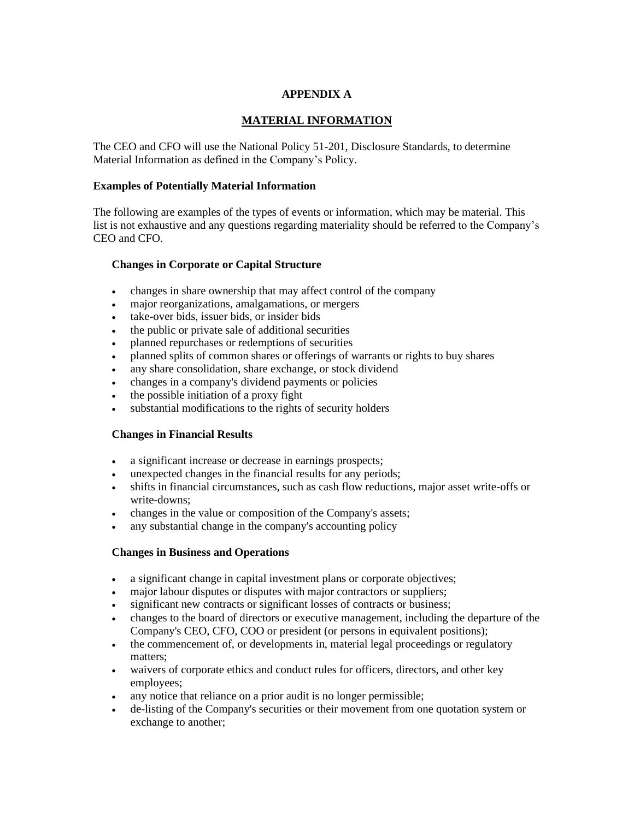# **APPENDIX A**

## **MATERIAL INFORMATION**

The CEO and CFO will use the National Policy 51-201, Disclosure Standards, to determine Material Information as defined in the Company's Policy.

### **Examples of Potentially Material Information**

The following are examples of the types of events or information, which may be material. This list is not exhaustive and any questions regarding materiality should be referred to the Company's CEO and CFO.

### **Changes in Corporate or Capital Structure**

- changes in share ownership that may affect control of the company
- major reorganizations, amalgamations, or mergers
- take-over bids, issuer bids, or insider bids
- the public or private sale of additional securities
- planned repurchases or redemptions of securities
- planned splits of common shares or offerings of warrants or rights to buy shares
- any share consolidation, share exchange, or stock dividend
- changes in a company's dividend payments or policies
- the possible initiation of a proxy fight
- substantial modifications to the rights of security holders

### **Changes in Financial Results**

- a significant increase or decrease in earnings prospects;
- unexpected changes in the financial results for any periods;
- shifts in financial circumstances, such as cash flow reductions, major asset write-offs or write-downs;
- changes in the value or composition of the Company's assets;
- any substantial change in the company's accounting policy

#### **Changes in Business and Operations**

- a significant change in capital investment plans or corporate objectives;
- major labour disputes or disputes with major contractors or suppliers;
- significant new contracts or significant losses of contracts or business;
- changes to the board of directors or executive management, including the departure of the Company's CEO, CFO, COO or president (or persons in equivalent positions);
- the commencement of, or developments in, material legal proceedings or regulatory matters;
- waivers of corporate ethics and conduct rules for officers, directors, and other key employees;
- any notice that reliance on a prior audit is no longer permissible;
- de-listing of the Company's securities or their movement from one quotation system or exchange to another;